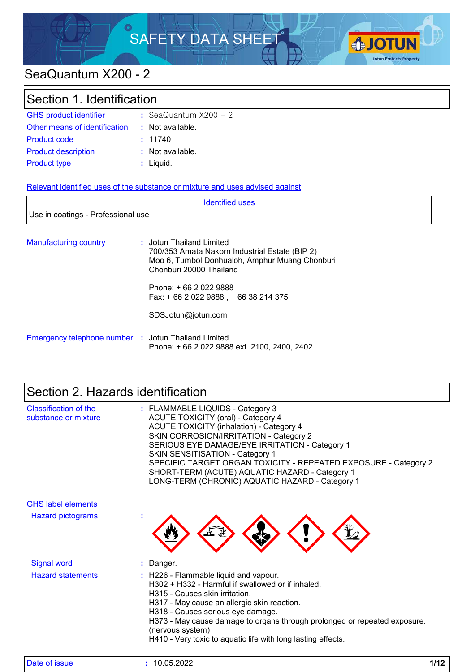

# SeaQuantum X200 - 2

| Section 1. Identification          |                                                                                                                                                                                  |
|------------------------------------|----------------------------------------------------------------------------------------------------------------------------------------------------------------------------------|
| <b>GHS product identifier</b>      | : SeaQuantum $X200 - 2$                                                                                                                                                          |
| Other means of identification      | : Not available.                                                                                                                                                                 |
| <b>Product code</b>                | : 11740                                                                                                                                                                          |
| <b>Product description</b>         | : Not available.                                                                                                                                                                 |
| <b>Product type</b>                | : Liquid.                                                                                                                                                                        |
| Use in coatings - Professional use | Relevant identified uses of the substance or mixture and uses advised against<br><b>Identified uses</b>                                                                          |
| <b>Manufacturing country</b>       | : Jotun Thailand Limited<br>700/353 Amata Nakorn Industrial Estate (BIP 2)<br>Moo 6, Tumbol Donhualoh, Amphur Muang Chonburi<br>Chonburi 20000 Thailand<br>Phone: +66 2 022 9888 |

Fax: + 66 2 022 9888 , + 66 38 214 375

SDSJotun@jotun.com

| Emergency telephone number : Jotun Thailand Limited |                                             |
|-----------------------------------------------------|---------------------------------------------|
|                                                     | Phone: +66 2 022 9888 ext. 2100, 2400, 2402 |

# Section 2. Hazards identification

| <b>Classification of the</b><br>substance or mixture | : FLAMMABLE LIQUIDS - Category 3<br>ACUTE TOXICITY (oral) - Category 4<br><b>ACUTE TOXICITY (inhalation) - Category 4</b><br>SKIN CORROSION/IRRITATION - Category 2<br>SERIOUS EYE DAMAGE/EYE IRRITATION - Category 1<br><b>SKIN SENSITISATION - Category 1</b><br>SPECIFIC TARGET ORGAN TOXICITY - REPEATED EXPOSURE - Category 2<br>SHORT-TERM (ACUTE) AQUATIC HAZARD - Category 1<br>LONG-TERM (CHRONIC) AQUATIC HAZARD - Category 1 |
|------------------------------------------------------|-----------------------------------------------------------------------------------------------------------------------------------------------------------------------------------------------------------------------------------------------------------------------------------------------------------------------------------------------------------------------------------------------------------------------------------------|
| <b>GHS label elements</b>                            |                                                                                                                                                                                                                                                                                                                                                                                                                                         |
| <b>Hazard pictograms</b>                             |                                                                                                                                                                                                                                                                                                                                                                                                                                         |
| <b>Signal word</b>                                   | : Danger.                                                                                                                                                                                                                                                                                                                                                                                                                               |
| <b>Hazard statements</b>                             | : H226 - Flammable liquid and vapour.<br>H302 + H332 - Harmful if swallowed or if inhaled.<br>H315 - Causes skin irritation.<br>H317 - May cause an allergic skin reaction.<br>H318 - Causes serious eye damage.<br>H373 - May cause damage to organs through prolonged or repeated exposure.<br>(nervous system)<br>H410 - Very toxic to aquatic life with long lasting effects.                                                       |

| Date of<br>10.05.2022<br>of <b>ISSUE</b> | 140<br>17 I 4 |
|------------------------------------------|---------------|
|------------------------------------------|---------------|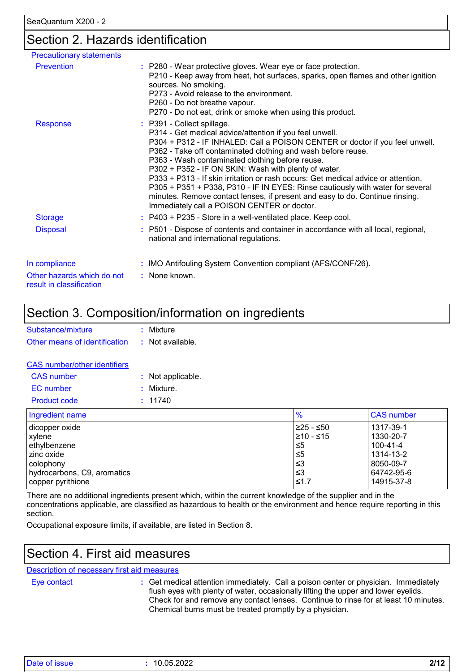### Section 2. Hazards identification

| <b>Precautionary statements</b>                        |                                                                                                                                                                                                                                                                                                                                                                                                                                                                                                                                                                                                                                                        |
|--------------------------------------------------------|--------------------------------------------------------------------------------------------------------------------------------------------------------------------------------------------------------------------------------------------------------------------------------------------------------------------------------------------------------------------------------------------------------------------------------------------------------------------------------------------------------------------------------------------------------------------------------------------------------------------------------------------------------|
| <b>Prevention</b>                                      | : P280 - Wear protective gloves. Wear eye or face protection.<br>P210 - Keep away from heat, hot surfaces, sparks, open flames and other ignition<br>sources. No smoking.<br>P273 - Avoid release to the environment.<br>P260 - Do not breathe vapour.<br>P270 - Do not eat, drink or smoke when using this product.                                                                                                                                                                                                                                                                                                                                   |
| <b>Response</b>                                        | : P391 - Collect spillage.<br>P314 - Get medical advice/attention if you feel unwell.<br>P304 + P312 - IF INHALED: Call a POISON CENTER or doctor if you feel unwell.<br>P362 - Take off contaminated clothing and wash before reuse.<br>P363 - Wash contaminated clothing before reuse.<br>P302 + P352 - IF ON SKIN: Wash with plenty of water.<br>P333 + P313 - If skin irritation or rash occurs: Get medical advice or attention.<br>P305 + P351 + P338, P310 - IF IN EYES: Rinse cautiously with water for several<br>minutes. Remove contact lenses, if present and easy to do. Continue rinsing.<br>Immediately call a POISON CENTER or doctor. |
| <b>Storage</b>                                         | : P403 + P235 - Store in a well-ventilated place. Keep cool.                                                                                                                                                                                                                                                                                                                                                                                                                                                                                                                                                                                           |
| <b>Disposal</b>                                        | : P501 - Dispose of contents and container in accordance with all local, regional,<br>national and international regulations.                                                                                                                                                                                                                                                                                                                                                                                                                                                                                                                          |
| In compliance                                          | : IMO Antifouling System Convention compliant (AFS/CONF/26).                                                                                                                                                                                                                                                                                                                                                                                                                                                                                                                                                                                           |
| Other hazards which do not<br>result in classification | : None known.                                                                                                                                                                                                                                                                                                                                                                                                                                                                                                                                                                                                                                          |

### Section 3. Composition/information on ingredients

| Substance/mixture                              | : Mixture |
|------------------------------------------------|-----------|
| Other means of identification : Not available. |           |
|                                                |           |

| <b>CAS</b> number/other identifiers |                  |
|-------------------------------------|------------------|
| $CAS$ number                        | . Not annlicable |

| <b>UAJ HUIHUU</b>   | . <i>i</i> vul applicable. |
|---------------------|----------------------------|
| EC number           | : Mixture.                 |
| <b>Product code</b> | : 11740                    |
|                     |                            |

| Ingredient name             | $\frac{9}{6}$ | <b>CAS number</b> |
|-----------------------------|---------------|-------------------|
| dicopper oxide              | l≥25 - ≤50    | 1317-39-1         |
| xylene                      | 210 - ≤15     | 1330-20-7         |
| ethylbenzene                | ≤5            | 100-41-4          |
| l zinc oxide                | ≤5            | 1314-13-2         |
| l colophonv                 | צ≥            | 8050-09-7         |
| hydrocarbons, C9, aromatics | וצ≥           | 64742-95-6        |
| copper pyrithione           | ≤1.7          | 14915-37-8        |

There are no additional ingredients present which, within the current knowledge of the supplier and in the concentrations applicable, are classified as hazardous to health or the environment and hence require reporting in this section.

Occupational exposure limits, if available, are listed in Section 8.

### Section 4. First aid measures

#### Description of necessary first aid measures

Eye contact **:**

Get medical attention immediately. Call a poison center or physician. Immediately flush eyes with plenty of water, occasionally lifting the upper and lower eyelids. Check for and remove any contact lenses. Continue to rinse for at least 10 minutes. Chemical burns must be treated promptly by a physician.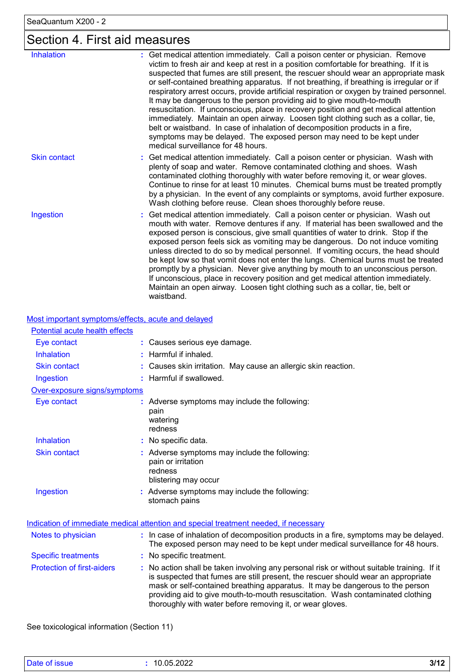# Section 4. First aid measures

| <b>Inhalation</b>   | : Get medical attention immediately. Call a poison center or physician. Remove<br>victim to fresh air and keep at rest in a position comfortable for breathing. If it is<br>suspected that fumes are still present, the rescuer should wear an appropriate mask<br>or self-contained breathing apparatus. If not breathing, if breathing is irregular or if<br>respiratory arrest occurs, provide artificial respiration or oxygen by trained personnel.<br>It may be dangerous to the person providing aid to give mouth-to-mouth<br>resuscitation. If unconscious, place in recovery position and get medical attention<br>immediately. Maintain an open airway. Loosen tight clothing such as a collar, tie,<br>belt or waistband. In case of inhalation of decomposition products in a fire,<br>symptoms may be delayed. The exposed person may need to be kept under<br>medical surveillance for 48 hours. |
|---------------------|-----------------------------------------------------------------------------------------------------------------------------------------------------------------------------------------------------------------------------------------------------------------------------------------------------------------------------------------------------------------------------------------------------------------------------------------------------------------------------------------------------------------------------------------------------------------------------------------------------------------------------------------------------------------------------------------------------------------------------------------------------------------------------------------------------------------------------------------------------------------------------------------------------------------|
| <b>Skin contact</b> | : Get medical attention immediately. Call a poison center or physician. Wash with<br>plenty of soap and water. Remove contaminated clothing and shoes. Wash<br>contaminated clothing thoroughly with water before removing it, or wear gloves.<br>Continue to rinse for at least 10 minutes. Chemical burns must be treated promptly<br>by a physician. In the event of any complaints or symptoms, avoid further exposure.<br>Wash clothing before reuse. Clean shoes thoroughly before reuse.                                                                                                                                                                                                                                                                                                                                                                                                                 |
| Ingestion           | Get medical attention immediately. Call a poison center or physician. Wash out<br>mouth with water. Remove dentures if any. If material has been swallowed and the<br>exposed person is conscious, give small quantities of water to drink. Stop if the<br>exposed person feels sick as vomiting may be dangerous. Do not induce vomiting<br>unless directed to do so by medical personnel. If vomiting occurs, the head should<br>be kept low so that vomit does not enter the lungs. Chemical burns must be treated<br>promptly by a physician. Never give anything by mouth to an unconscious person.<br>If unconscious, place in recovery position and get medical attention immediately.<br>Maintain an open airway. Loosen tight clothing such as a collar, tie, belt or<br>waistband.                                                                                                                    |

Most important symptoms/effects, acute and delayed

| Potential acute health effects    |                                                                                                                                                                                                                                                                                                                                                                                                                 |
|-----------------------------------|-----------------------------------------------------------------------------------------------------------------------------------------------------------------------------------------------------------------------------------------------------------------------------------------------------------------------------------------------------------------------------------------------------------------|
| Eye contact                       | : Causes serious eye damage.                                                                                                                                                                                                                                                                                                                                                                                    |
| <b>Inhalation</b>                 | : Harmful if inhaled.                                                                                                                                                                                                                                                                                                                                                                                           |
| <b>Skin contact</b>               | : Causes skin irritation. May cause an allergic skin reaction.                                                                                                                                                                                                                                                                                                                                                  |
| Ingestion                         | : Harmful if swallowed.                                                                                                                                                                                                                                                                                                                                                                                         |
| Over-exposure signs/symptoms      |                                                                                                                                                                                                                                                                                                                                                                                                                 |
| Eye contact                       | : Adverse symptoms may include the following:<br>pain<br>watering<br>redness                                                                                                                                                                                                                                                                                                                                    |
| Inhalation                        | : No specific data.                                                                                                                                                                                                                                                                                                                                                                                             |
| <b>Skin contact</b>               | : Adverse symptoms may include the following:<br>pain or irritation<br>redness<br>blistering may occur                                                                                                                                                                                                                                                                                                          |
| Ingestion                         | : Adverse symptoms may include the following:<br>stomach pains                                                                                                                                                                                                                                                                                                                                                  |
|                                   | Indication of immediate medical attention and special treatment needed, if necessary                                                                                                                                                                                                                                                                                                                            |
| Notes to physician                | : In case of inhalation of decomposition products in a fire, symptoms may be delayed.<br>The exposed person may need to be kept under medical surveillance for 48 hours.                                                                                                                                                                                                                                        |
| <b>Specific treatments</b>        | : No specific treatment.                                                                                                                                                                                                                                                                                                                                                                                        |
| <b>Protection of first-aiders</b> | : No action shall be taken involving any personal risk or without suitable training. If it<br>is suspected that fumes are still present, the rescuer should wear an appropriate<br>mask or self-contained breathing apparatus. It may be dangerous to the person<br>providing aid to give mouth-to-mouth resuscitation. Wash contaminated clothing<br>thoroughly with water before removing it, or wear gloves. |

See toxicological information (Section 11)

| D<br>. 05<br>3/1<br>$\cdots$<br> |  | 5.2022 | $\cdots$ |
|----------------------------------|--|--------|----------|
|----------------------------------|--|--------|----------|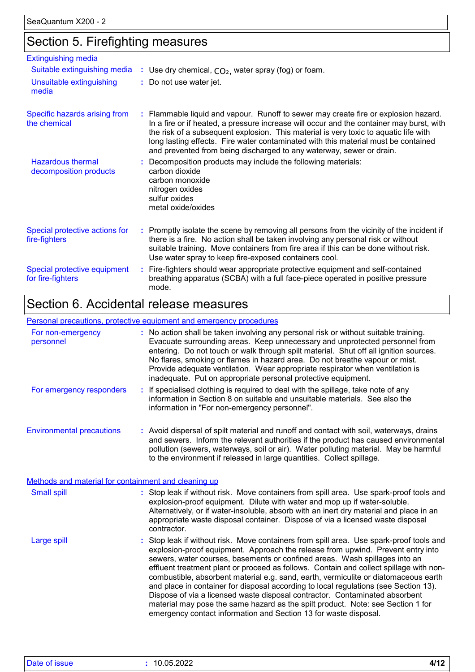### Section 5. Firefighting measures

| <b>Extinguishing media</b>                         |                                                                                                                                                                                                                                                                                                                                                                                                                                       |
|----------------------------------------------------|---------------------------------------------------------------------------------------------------------------------------------------------------------------------------------------------------------------------------------------------------------------------------------------------------------------------------------------------------------------------------------------------------------------------------------------|
| Suitable extinguishing media                       | : Use dry chemical, $CO2$ , water spray (fog) or foam.                                                                                                                                                                                                                                                                                                                                                                                |
| Unsuitable extinguishing<br>media                  | : Do not use water jet.                                                                                                                                                                                                                                                                                                                                                                                                               |
| Specific hazards arising from<br>the chemical      | : Flammable liquid and vapour. Runoff to sewer may create fire or explosion hazard.<br>In a fire or if heated, a pressure increase will occur and the container may burst, with<br>the risk of a subsequent explosion. This material is very toxic to aquatic life with<br>long lasting effects. Fire water contaminated with this material must be contained<br>and prevented from being discharged to any waterway, sewer or drain. |
| <b>Hazardous thermal</b><br>decomposition products | Decomposition products may include the following materials:<br>carbon dioxide<br>carbon monoxide<br>nitrogen oxides<br>sulfur oxides<br>metal oxide/oxides                                                                                                                                                                                                                                                                            |
| Special protective actions for<br>fire-fighters    | : Promptly isolate the scene by removing all persons from the vicinity of the incident if<br>there is a fire. No action shall be taken involving any personal risk or without<br>suitable training. Move containers from fire area if this can be done without risk.<br>Use water spray to keep fire-exposed containers cool.                                                                                                         |
| Special protective equipment<br>for fire-fighters  | : Fire-fighters should wear appropriate protective equipment and self-contained<br>breathing apparatus (SCBA) with a full face-piece operated in positive pressure<br>mode.                                                                                                                                                                                                                                                           |

### Section 6. Accidental release measures

#### Environmental precautions Personal precautions, protective equipment and emergency procedures Stop leak if without risk. Move containers from spill area. Use spark-proof tools and explosion-proof equipment. Approach the release from upwind. Prevent entry into sewers, water courses, basements or confined areas. Wash spillages into an effluent treatment plant or proceed as follows. Contain and collect spillage with noncombustible, absorbent material e.g. sand, earth, vermiculite or diatomaceous earth and place in container for disposal according to local regulations (see Section 13). Dispose of via a licensed waste disposal contractor. Contaminated absorbent material may pose the same hazard as the spilt product. Note: see Section 1 for emergency contact information and Section 13 for waste disposal. **:** Avoid dispersal of spilt material and runoff and contact with soil, waterways, drains **:** No action shall be taken involving any personal risk or without suitable training. Evacuate surrounding areas. Keep unnecessary and unprotected personnel from entering. Do not touch or walk through spilt material. Shut off all ignition sources. No flares, smoking or flames in hazard area. Do not breathe vapour or mist. Provide adequate ventilation. Wear appropriate respirator when ventilation is inadequate. Put on appropriate personal protective equipment. and sewers. Inform the relevant authorities if the product has caused environmental pollution (sewers, waterways, soil or air). Water polluting material. May be harmful to the environment if released in large quantities. Collect spillage. Large spill **:** Stop leak if without risk. Move containers from spill area. Use spark-proof tools and explosion-proof equipment. Dilute with water and mop up if water-soluble. Alternatively, or if water-insoluble, absorb with an inert dry material and place in an appropriate waste disposal container. Dispose of via a licensed waste disposal contractor. Small spill **:** Methods and material for containment and cleaning up For non-emergency personnel For emergency responders **:** If specialised clothing is required to deal with the spillage, take note of any information in Section 8 on suitable and unsuitable materials. See also the information in "For non-emergency personnel".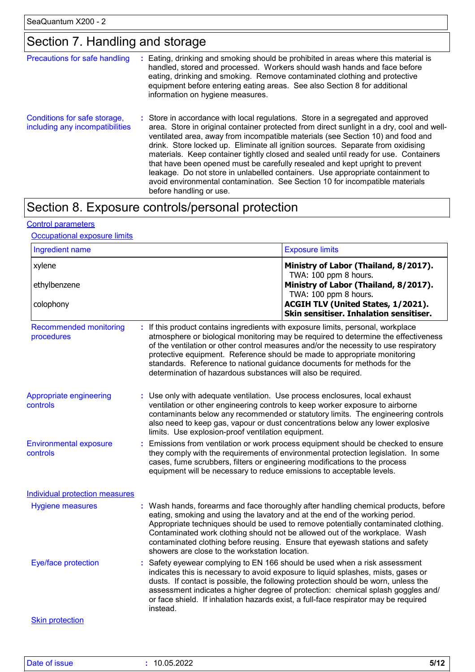### Section 7. Handling and storage

| Precautions for safe handling                                   | ÷ | Eating, drinking and smoking should be prohibited in areas where this material is<br>handled, stored and processed. Workers should wash hands and face before<br>eating, drinking and smoking. Remove contaminated clothing and protective<br>equipment before entering eating areas. See also Section 8 for additional<br>information on hygiene measures.                                                                                                                                                                                                                                                                                                                                                             |
|-----------------------------------------------------------------|---|-------------------------------------------------------------------------------------------------------------------------------------------------------------------------------------------------------------------------------------------------------------------------------------------------------------------------------------------------------------------------------------------------------------------------------------------------------------------------------------------------------------------------------------------------------------------------------------------------------------------------------------------------------------------------------------------------------------------------|
| Conditions for safe storage,<br>including any incompatibilities |   | : Store in accordance with local regulations. Store in a segregated and approved<br>area. Store in original container protected from direct sunlight in a dry, cool and well-<br>ventilated area, away from incompatible materials (see Section 10) and food and<br>drink. Store locked up. Eliminate all ignition sources. Separate from oxidising<br>materials. Keep container tightly closed and sealed until ready for use. Containers<br>that have been opened must be carefully resealed and kept upright to prevent<br>leakage. Do not store in unlabelled containers. Use appropriate containment to<br>avoid environmental contamination. See Section 10 for incompatible materials<br>before handling or use. |

# Section 8. Exposure controls/personal protection

### Control parameters

#### Occupational exposure limits

| Ingredient name                             |                                                                                                                                                     | <b>Exposure limits</b>                                                                                                                                                                                                                                                                                                                                                                                                         |
|---------------------------------------------|-----------------------------------------------------------------------------------------------------------------------------------------------------|--------------------------------------------------------------------------------------------------------------------------------------------------------------------------------------------------------------------------------------------------------------------------------------------------------------------------------------------------------------------------------------------------------------------------------|
| xylene                                      |                                                                                                                                                     | Ministry of Labor (Thailand, 8/2017).<br>TWA: 100 ppm 8 hours.                                                                                                                                                                                                                                                                                                                                                                 |
| ethylbenzene                                |                                                                                                                                                     | Ministry of Labor (Thailand, 8/2017).<br>TWA: 100 ppm 8 hours.                                                                                                                                                                                                                                                                                                                                                                 |
| colophony                                   |                                                                                                                                                     | ACGIH TLV (United States, 1/2021).<br>Skin sensitiser. Inhalation sensitiser.                                                                                                                                                                                                                                                                                                                                                  |
| <b>Recommended monitoring</b><br>procedures | determination of hazardous substances will also be required.                                                                                        | : If this product contains ingredients with exposure limits, personal, workplace<br>atmosphere or biological monitoring may be required to determine the effectiveness<br>of the ventilation or other control measures and/or the necessity to use respiratory<br>protective equipment. Reference should be made to appropriate monitoring<br>standards. Reference to national guidance documents for methods for the          |
| Appropriate engineering<br>controls         | : Use only with adequate ventilation. Use process enclosures, local exhaust<br>limits. Use explosion-proof ventilation equipment.                   | ventilation or other engineering controls to keep worker exposure to airborne<br>contaminants below any recommended or statutory limits. The engineering controls<br>also need to keep gas, vapour or dust concentrations below any lower explosive                                                                                                                                                                            |
| <b>Environmental exposure</b><br>controls   | cases, fume scrubbers, filters or engineering modifications to the process<br>equipment will be necessary to reduce emissions to acceptable levels. | : Emissions from ventilation or work process equipment should be checked to ensure<br>they comply with the requirements of environmental protection legislation. In some                                                                                                                                                                                                                                                       |
| <b>Individual protection measures</b>       |                                                                                                                                                     |                                                                                                                                                                                                                                                                                                                                                                                                                                |
| <b>Hygiene measures</b>                     | showers are close to the workstation location.                                                                                                      | : Wash hands, forearms and face thoroughly after handling chemical products, before<br>eating, smoking and using the lavatory and at the end of the working period.<br>Appropriate techniques should be used to remove potentially contaminated clothing.<br>Contaminated work clothing should not be allowed out of the workplace. Wash<br>contaminated clothing before reusing. Ensure that eyewash stations and safety      |
| Eye/face protection                         | instead.                                                                                                                                            | Safety eyewear complying to EN 166 should be used when a risk assessment<br>indicates this is necessary to avoid exposure to liquid splashes, mists, gases or<br>dusts. If contact is possible, the following protection should be worn, unless the<br>assessment indicates a higher degree of protection: chemical splash goggles and/<br>or face shield. If inhalation hazards exist, a full-face respirator may be required |
| <b>Skin protection</b>                      |                                                                                                                                                     |                                                                                                                                                                                                                                                                                                                                                                                                                                |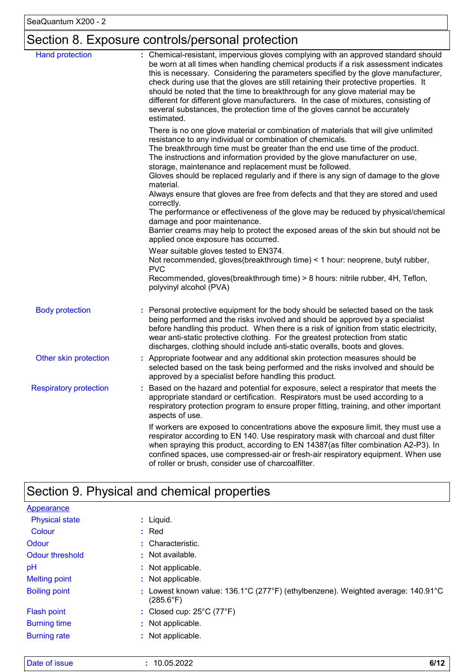# Section 8. Exposure controls/personal protection

| <b>Hand protection</b>        | : Chemical-resistant, impervious gloves complying with an approved standard should<br>be worn at all times when handling chemical products if a risk assessment indicates<br>this is necessary. Considering the parameters specified by the glove manufacturer,<br>check during use that the gloves are still retaining their protective properties. It<br>should be noted that the time to breakthrough for any glove material may be<br>different for different glove manufacturers. In the case of mixtures, consisting of<br>several substances, the protection time of the gloves cannot be accurately<br>estimated. |
|-------------------------------|---------------------------------------------------------------------------------------------------------------------------------------------------------------------------------------------------------------------------------------------------------------------------------------------------------------------------------------------------------------------------------------------------------------------------------------------------------------------------------------------------------------------------------------------------------------------------------------------------------------------------|
|                               | There is no one glove material or combination of materials that will give unlimited<br>resistance to any individual or combination of chemicals.<br>The breakthrough time must be greater than the end use time of the product.<br>The instructions and information provided by the glove manufacturer on use,<br>storage, maintenance and replacement must be followed.<br>Gloves should be replaced regularly and if there is any sign of damage to the glove                                                                                                                                                           |
|                               | material.<br>Always ensure that gloves are free from defects and that they are stored and used<br>correctly.                                                                                                                                                                                                                                                                                                                                                                                                                                                                                                              |
|                               | The performance or effectiveness of the glove may be reduced by physical/chemical<br>damage and poor maintenance.<br>Barrier creams may help to protect the exposed areas of the skin but should not be<br>applied once exposure has occurred.                                                                                                                                                                                                                                                                                                                                                                            |
|                               | Wear suitable gloves tested to EN374.<br>Not recommended, gloves(breakthrough time) < 1 hour: neoprene, butyl rubber,<br><b>PVC</b><br>Recommended, gloves(breakthrough time) > 8 hours: nitrile rubber, 4H, Teflon,                                                                                                                                                                                                                                                                                                                                                                                                      |
|                               | polyvinyl alcohol (PVA)                                                                                                                                                                                                                                                                                                                                                                                                                                                                                                                                                                                                   |
| <b>Body protection</b>        | Personal protective equipment for the body should be selected based on the task<br>being performed and the risks involved and should be approved by a specialist<br>before handling this product. When there is a risk of ignition from static electricity,<br>wear anti-static protective clothing. For the greatest protection from static<br>discharges, clothing should include anti-static overalls, boots and gloves.                                                                                                                                                                                               |
| Other skin protection         | : Appropriate footwear and any additional skin protection measures should be<br>selected based on the task being performed and the risks involved and should be<br>approved by a specialist before handling this product.                                                                                                                                                                                                                                                                                                                                                                                                 |
| <b>Respiratory protection</b> | Based on the hazard and potential for exposure, select a respirator that meets the<br>appropriate standard or certification. Respirators must be used according to a<br>respiratory protection program to ensure proper fitting, training, and other important<br>aspects of use.                                                                                                                                                                                                                                                                                                                                         |
|                               | If workers are exposed to concentrations above the exposure limit, they must use a<br>respirator according to EN 140. Use respiratory mask with charcoal and dust filter<br>when spraying this product, according to EN 14387(as filter combination A2-P3). In<br>confined spaces, use compressed-air or fresh-air respiratory equipment. When use<br>of roller or brush, consider use of charcoalfilter.                                                                                                                                                                                                                 |

# Section 9. Physical and chemical properties

| <b>Appearance</b>     |                                                                                                            |
|-----------------------|------------------------------------------------------------------------------------------------------------|
| <b>Physical state</b> | $:$ Liquid.                                                                                                |
| Colour                | $:$ Red                                                                                                    |
| Odour                 | : Characteristic.                                                                                          |
| Odour threshold       | $\cdot$ Not available.                                                                                     |
| pH                    | : Not applicable.                                                                                          |
| <b>Melting point</b>  | : Not applicable.                                                                                          |
| <b>Boiling point</b>  | Lowest known value: 136.1°C (277°F) (ethylbenzene). Weighted average: 140.91°C<br>÷.<br>$(285.6^{\circ}F)$ |
| Flash point           | : Closed cup: $25^{\circ}$ C (77 $^{\circ}$ F)                                                             |
| <b>Burning time</b>   | : Not applicable.                                                                                          |
| <b>Burning rate</b>   | : Not applicable.                                                                                          |

| Date of issue | 10.05.2022 | 011 O |
|---------------|------------|-------|
|---------------|------------|-------|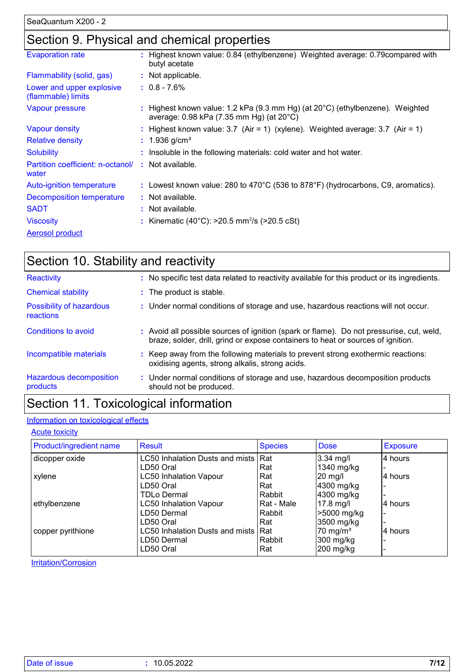### Section 9. Physical and chemical properties

| <b>Evaporation rate</b>                         | : Highest known value: 0.84 (ethylbenzene) Weighted average: 0.79 compared with<br>butyl acetate                          |
|-------------------------------------------------|---------------------------------------------------------------------------------------------------------------------------|
| Flammability (solid, gas)                       | : Not applicable.                                                                                                         |
| Lower and upper explosive<br>(flammable) limits | $: 0.8 - 7.6\%$                                                                                                           |
| Vapour pressure                                 | : Highest known value: 1.2 kPa (9.3 mm Hg) (at 20°C) (ethylbenzene). Weighted<br>average: 0.98 kPa (7.35 mm Hg) (at 20°C) |
| <b>Vapour density</b>                           | : Highest known value: $3.7$ (Air = 1) (xylene). Weighted average: $3.7$ (Air = 1)                                        |
| <b>Relative density</b>                         | : $1.936$ g/cm <sup>3</sup>                                                                                               |
| <b>Solubility</b>                               | : Insoluble in the following materials: cold water and hot water.                                                         |
| Partition coefficient: n-octanol/<br>water      | : Not available.                                                                                                          |
| Auto-ignition temperature                       | : Lowest known value: 280 to 470°C (536 to 878°F) (hydrocarbons, C9, aromatics).                                          |
| Decomposition temperature                       | : Not available.                                                                                                          |
| <b>SADT</b>                                     | : Not available.                                                                                                          |
| <b>Viscosity</b>                                | : Kinematic (40°C): $>20.5$ mm <sup>2</sup> /s ( $>20.5$ cSt)                                                             |
| <b>Aerosol product</b>                          |                                                                                                                           |

| Section 10. Stability and reactivity  |                                                                                                                                                                              |
|---------------------------------------|------------------------------------------------------------------------------------------------------------------------------------------------------------------------------|
| Reactivity                            | : No specific test data related to reactivity available for this product or its ingredients.                                                                                 |
| <b>Chemical stability</b>             | : The product is stable.                                                                                                                                                     |
| Possibility of hazardous<br>reactions | : Under normal conditions of storage and use, hazardous reactions will not occur.                                                                                            |
| Conditions to avoid                   | : Avoid all possible sources of ignition (spark or flame). Do not pressurise, cut, weld,<br>braze, solder, drill, grind or expose containers to heat or sources of ignition. |
| Incompatible materials                | : Keep away from the following materials to prevent strong exothermic reactions:<br>oxidising agents, strong alkalis, strong acids.                                          |
| Hazardous decomposition<br>products   | : Under normal conditions of storage and use, hazardous decomposition products<br>should not be produced.                                                                    |
|                                       |                                                                                                                                                                              |

### Section 11. Toxicological information

### Information on toxicological effects

**Acute toxicity** 

| Product/ingredient name | Result                              | <b>Species</b> | <b>Dose</b>          | <b>Exposure</b> |
|-------------------------|-------------------------------------|----------------|----------------------|-----------------|
| dicopper oxide          | LC50 Inhalation Dusts and mists Rat |                | $3.34$ mg/l          | 4 hours         |
|                         | LD50 Oral                           | Rat            | 1340 mg/kg           |                 |
| xylene                  | <b>LC50 Inhalation Vapour</b>       | Rat            | $20$ mg/l            | 4 hours         |
|                         | LD50 Oral                           | Rat            | 4300 mg/kg           |                 |
|                         | <b>TDLo Dermal</b>                  | Rabbit         | 4300 mg/kg           |                 |
| ethylbenzene            | <b>LC50 Inhalation Vapour</b>       | Rat - Male     | 17.8 mg/l            | l4 hours        |
|                         | LD50 Dermal                         | Rabbit         | >5000 mg/kg          |                 |
|                         | LD50 Oral                           | Rat            | 3500 mg/kg           |                 |
| copper pyrithione       | LC50 Inhalation Dusts and mists Rat |                | 70 mg/m <sup>3</sup> | 14 hours        |
|                         | LD50 Dermal                         | Rabbit         | 300 mg/kg            |                 |
|                         | LD50 Oral                           | Rat            | 200 mg/kg            |                 |

**Irritation/Corrosion**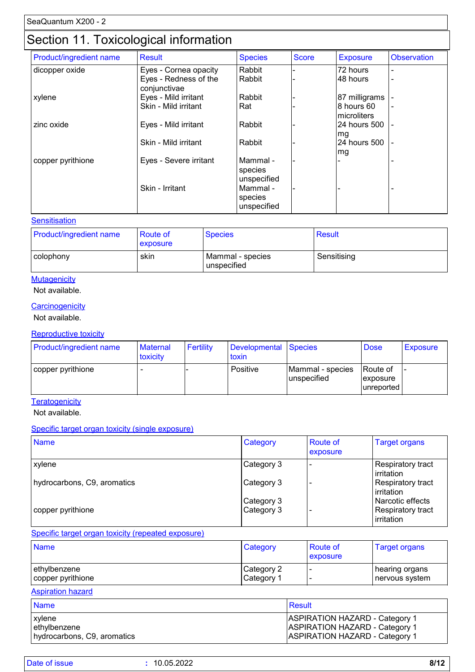### Section 11. Toxicological information

| Product/ingredient name | <b>Result</b>                         | <b>Species</b>                     | <b>Score</b> | <b>Exposure</b>            | <b>Observation</b>       |
|-------------------------|---------------------------------------|------------------------------------|--------------|----------------------------|--------------------------|
| dicopper oxide          | Eyes - Cornea opacity                 | Rabbit                             |              | 72 hours                   | $\overline{\phantom{0}}$ |
|                         | Eyes - Redness of the<br>conjunctivae | Rabbit                             |              | 48 hours                   | $\overline{\phantom{a}}$ |
| xylene                  | Eyes - Mild irritant                  | Rabbit                             |              | 87 milligrams              |                          |
|                         | Skin - Mild irritant                  | Rat                                |              | 8 hours 60<br>Imicroliters |                          |
| zinc oxide              | Eyes - Mild irritant                  | Rabbit                             |              | 24 hours 500<br>mg         | $\overline{\phantom{a}}$ |
|                         | Skin - Mild irritant                  | Rabbit                             |              | 24 hours 500<br>mg         | $\overline{\phantom{a}}$ |
| copper pyrithione       | Eyes - Severe irritant                | Mammal -<br>species<br>unspecified |              |                            |                          |
|                         | Skin - Irritant                       | Mammal -<br>species<br>unspecified |              |                            |                          |

#### **Sensitisation**

| <b>Product/ingredient name</b> | <b>Route of</b><br><b>exposure</b> | <b>Species</b>                  | <b>Result</b> |
|--------------------------------|------------------------------------|---------------------------------|---------------|
| colophony                      | skin                               | Mammal - species<br>unspecified | Sensitising   |

### **Mutagenicity**

#### Not available.

#### **Carcinogenicity**

Not available.

#### Reproductive toxicity

| Product/ingredient name | <b>Maternal</b><br>toxicity | Fertility | Developmental Species<br><b>toxin</b> |                                 | <b>Dose</b>                                | Exposure |
|-------------------------|-----------------------------|-----------|---------------------------------------|---------------------------------|--------------------------------------------|----------|
| copper pyrithione       |                             |           | Positive                              | Mammal - species<br>unspecified | <b>Route of</b><br>exposure<br>lunreported |          |

**Teratogenicity** 

Not available.

#### Specific target organ toxicity (single exposure)

| <b>Name</b>                 | Category   | <b>Route of</b><br>exposure | <b>Target organs</b>                   |
|-----------------------------|------------|-----------------------------|----------------------------------------|
| <b>xylene</b>               | Category 3 |                             | <b>Respiratory tract</b><br>irritation |
| hydrocarbons, C9, aromatics | Category 3 |                             | Respiratory tract<br>irritation        |
|                             | Category 3 |                             | Narcotic effects                       |
| copper pyrithione           | Category 3 |                             | <b>Respiratory tract</b><br>irritation |

#### Specific target organ toxicity (repeated exposure)

| <b>Name</b>       | Category               | Route of<br>exposure | <b>Target organs</b> |
|-------------------|------------------------|----------------------|----------------------|
| ethylbenzene      | Category 2             |                      | hearing organs       |
| copper pyrithione | ∣Category <sup>1</sup> |                      | nervous system       |

#### Aspiration hazard

| <b>Name</b>                 | Result                                |
|-----------------------------|---------------------------------------|
| <b>xylene</b>               | <b>ASPIRATION HAZARD - Category 1</b> |
| ethylbenzene                | <b>ASPIRATION HAZARD - Category 1</b> |
| hydrocarbons, C9, aromatics | <b>ASPIRATION HAZARD - Category 1</b> |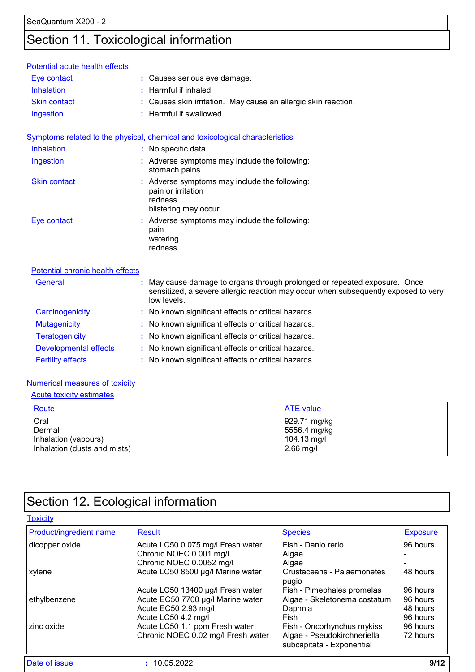# Section 11. Toxicological information

| Potential acute health effects   |                                                                                                                                                                              |
|----------------------------------|------------------------------------------------------------------------------------------------------------------------------------------------------------------------------|
| Eye contact                      | : Causes serious eye damage.                                                                                                                                                 |
| <b>Inhalation</b>                | : Harmful if inhaled.                                                                                                                                                        |
| <b>Skin contact</b>              | Causes skin irritation. May cause an allergic skin reaction.                                                                                                                 |
| Ingestion                        | : Harmful if swallowed.                                                                                                                                                      |
|                                  | Symptoms related to the physical, chemical and toxicological characteristics                                                                                                 |
| Inhalation                       | : No specific data.                                                                                                                                                          |
| Ingestion                        | : Adverse symptoms may include the following:<br>stomach pains                                                                                                               |
| <b>Skin contact</b>              | : Adverse symptoms may include the following:<br>pain or irritation<br>redness<br>blistering may occur                                                                       |
| Eye contact                      | : Adverse symptoms may include the following:<br>pain<br>watering<br>redness                                                                                                 |
| Potential chronic health effects |                                                                                                                                                                              |
| <b>General</b>                   | May cause damage to organs through prolonged or repeated exposure. Once<br>sensitized, a severe allergic reaction may occur when subsequently exposed to very<br>low levels. |
| Carcinogenicity                  | : No known significant effects or critical hazards.                                                                                                                          |
| <b>Mutagenicity</b>              | : No known significant effects or critical hazards.                                                                                                                          |
| <b>Teratogenicity</b>            | : No known significant effects or critical hazards.                                                                                                                          |
| Developmental effects            | : No known significant effects or critical hazards.                                                                                                                          |
| <b>Fertility effects</b>         | : No known significant effects or critical hazards.                                                                                                                          |

#### Numerical measures of toxicity

| <b>Acute toxicity estimates</b>                                        |                                                            |
|------------------------------------------------------------------------|------------------------------------------------------------|
| Route                                                                  | <b>ATE</b> value                                           |
| Oral<br>Dermal<br>Inhalation (vapours)<br>Inhalation (dusts and mists) | 929.71 mg/kg<br>5556.4 mg/kg<br>104.13 mg/l<br>$2.66$ mg/l |

# Section 12. Ecological information

| <b>Toxicity</b>         |                                    |                                                          |                 |
|-------------------------|------------------------------------|----------------------------------------------------------|-----------------|
| Product/ingredient name | Result                             | <b>Species</b>                                           | <b>Exposure</b> |
| dicopper oxide          | Acute LC50 0.075 mg/l Fresh water  | Fish - Danio rerio                                       | 96 hours        |
|                         | Chronic NOEC 0.001 mg/l            | Algae                                                    |                 |
|                         | Chronic NOEC 0.0052 mg/l           | Algae                                                    |                 |
| xylene                  | Acute LC50 8500 µg/l Marine water  | <b>Crustaceans - Palaemonetes</b><br>pugio               | 48 hours        |
|                         | Acute LC50 13400 µg/l Fresh water  | Fish - Pimephales promelas                               | 96 hours        |
| ethylbenzene            | Acute EC50 7700 µg/l Marine water  | Algae - Skeletonema costatum                             | 96 hours        |
|                         | Acute EC50 2.93 mg/l               | Daphnia                                                  | 48 hours        |
|                         | Acute LC50 4.2 mg/l                | Fish                                                     | 96 hours        |
| zinc oxide              | Acute LC50 1.1 ppm Fresh water     | Fish - Oncorhynchus mykiss                               | 96 hours        |
|                         | Chronic NOEC 0.02 mg/l Fresh water | Algae - Pseudokirchneriella<br>subcapitata - Exponential | 72 hours        |
| Date of issue           | 10.05.2022                         |                                                          | 9/12            |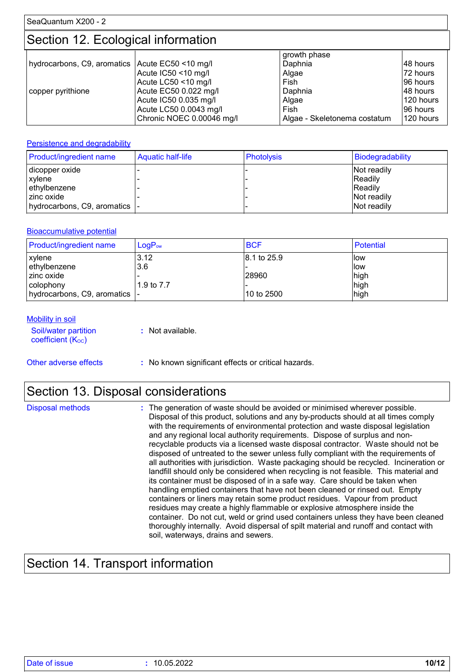### Section 12. Ecological information

|                                                   |                           | growth phase                 |           |
|---------------------------------------------------|---------------------------|------------------------------|-----------|
| hydrocarbons, C9, aromatics   Acute EC50 <10 mg/l |                           | Daphnia                      | 148 hours |
|                                                   | Acute IC50 <10 mg/l       | Algae                        | 72 hours  |
|                                                   | Acute LC50 <10 mg/l       | Fish                         | 196 hours |
| copper pyrithione                                 | Acute EC50 0.022 mg/l     | Daphnia                      | 148 hours |
|                                                   | Acute IC50 0.035 mg/l     | Algae                        | 120 hours |
|                                                   | Acute LC50 0.0043 mg/l    | Fish                         | 196 hours |
|                                                   | Chronic NOEC 0.00046 mg/l | Algae - Skeletonema costatum | 120 hours |

#### **Persistence and degradability**

| Product/ingredient name        | <b>Aquatic half-life</b> | <b>Photolysis</b> | Biodegradability |
|--------------------------------|--------------------------|-------------------|------------------|
| dicopper oxide                 |                          |                   | Not readily      |
| xylene                         |                          |                   | Readily          |
| ethylbenzene                   |                          |                   | Readily          |
| l zinc oxide                   |                          |                   | Not readily      |
| hydrocarbons, C9, aromatics  - |                          |                   | Not readily      |

#### Bioaccumulative potential

| <b>Product/ingredient name</b> | $LogP_{ow}$ | <b>BCF</b>  | Potential |
|--------------------------------|-------------|-------------|-----------|
| <b>xylene</b>                  | 3.12        | 8.1 to 25.9 | llow      |
| ethylbenzene                   | 3.6         |             | llow      |
| l zinc oxide                   |             | 28960       | high      |
| l colophony                    | 1.9 to 7.7  |             | high      |
| hydrocarbons, C9, aromatics  - |             | 10 to 2500  | high      |

#### **Mobility in soil**

| Soil/water partition<br>coefficient $(K_{OC})$ | : Not available. |
|------------------------------------------------|------------------|
|                                                |                  |

Other adverse effects **:** No known significant effects or critical hazards.

### Section 13. Disposal considerations

| Disposal methods | : The generation of waste should be avoided or minimised wherever possible.<br>Disposal of this product, solutions and any by-products should at all times comply<br>with the requirements of environmental protection and waste disposal legislation<br>and any regional local authority requirements. Dispose of surplus and non-<br>recyclable products via a licensed waste disposal contractor. Waste should not be<br>disposed of untreated to the sewer unless fully compliant with the requirements of<br>all authorities with jurisdiction. Waste packaging should be recycled. Incineration or<br>landfill should only be considered when recycling is not feasible. This material and<br>its container must be disposed of in a safe way. Care should be taken when<br>handling emptied containers that have not been cleaned or rinsed out. Empty<br>containers or liners may retain some product residues. Vapour from product<br>residues may create a highly flammable or explosive atmosphere inside the<br>container. Do not cut, weld or grind used containers unless they have been cleaned<br>thoroughly internally. Avoid dispersal of spilt material and runoff and contact with |
|------------------|--------------------------------------------------------------------------------------------------------------------------------------------------------------------------------------------------------------------------------------------------------------------------------------------------------------------------------------------------------------------------------------------------------------------------------------------------------------------------------------------------------------------------------------------------------------------------------------------------------------------------------------------------------------------------------------------------------------------------------------------------------------------------------------------------------------------------------------------------------------------------------------------------------------------------------------------------------------------------------------------------------------------------------------------------------------------------------------------------------------------------------------------------------------------------------------------------------|
|                  | soil, waterways, drains and sewers.                                                                                                                                                                                                                                                                                                                                                                                                                                                                                                                                                                                                                                                                                                                                                                                                                                                                                                                                                                                                                                                                                                                                                                    |

# Section 14. Transport information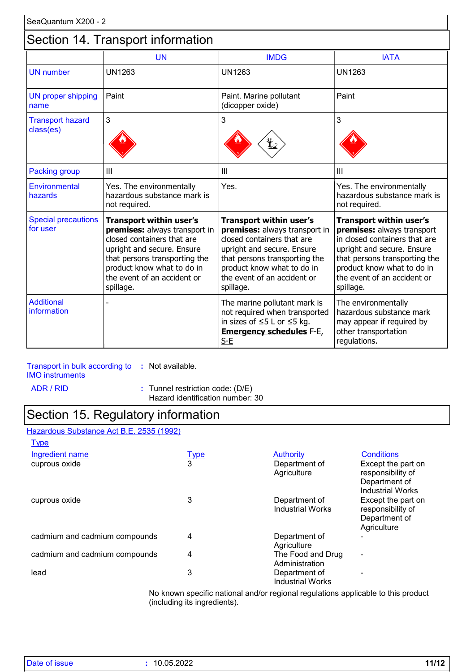### Section 14. Transport information

|                                        | <b>UN</b>                                                                                                                                                                                                                              | <b>IMDG</b>                                                                                                                                                                                                                            | <b>IATA</b>                                                                                                                                                                                                                     |
|----------------------------------------|----------------------------------------------------------------------------------------------------------------------------------------------------------------------------------------------------------------------------------------|----------------------------------------------------------------------------------------------------------------------------------------------------------------------------------------------------------------------------------------|---------------------------------------------------------------------------------------------------------------------------------------------------------------------------------------------------------------------------------|
| <b>UN number</b>                       | <b>UN1263</b>                                                                                                                                                                                                                          | <b>UN1263</b>                                                                                                                                                                                                                          | <b>UN1263</b>                                                                                                                                                                                                                   |
| UN proper shipping<br>name             | Paint                                                                                                                                                                                                                                  | Paint. Marine pollutant<br>(dicopper oxide)                                                                                                                                                                                            | Paint                                                                                                                                                                                                                           |
| <b>Transport hazard</b><br>class(es)   | 3                                                                                                                                                                                                                                      | 3                                                                                                                                                                                                                                      | 3                                                                                                                                                                                                                               |
| Packing group                          | III                                                                                                                                                                                                                                    | III                                                                                                                                                                                                                                    | III                                                                                                                                                                                                                             |
| <b>Environmental</b><br>hazards        | Yes. The environmentally<br>hazardous substance mark is<br>not required.                                                                                                                                                               | Yes.                                                                                                                                                                                                                                   | Yes. The environmentally<br>hazardous substance mark is<br>not required.                                                                                                                                                        |
| <b>Special precautions</b><br>for user | <b>Transport within user's</b><br>premises: always transport in<br>closed containers that are<br>upright and secure. Ensure<br>that persons transporting the<br>product know what to do in<br>the event of an accident or<br>spillage. | <b>Transport within user's</b><br>premises: always transport in<br>closed containers that are<br>upright and secure. Ensure<br>that persons transporting the<br>product know what to do in<br>the event of an accident or<br>spillage. | Transport within user's<br>premises: always transport<br>in closed containers that are<br>upright and secure. Ensure<br>that persons transporting the<br>product know what to do in<br>the event of an accident or<br>spillage. |
| <b>Additional</b><br>information       |                                                                                                                                                                                                                                        | The marine pollutant mark is<br>not required when transported<br>in sizes of $\leq$ 5 L or $\leq$ 5 kg.<br><b>Emergency schedules F-E,</b><br>$S-E$                                                                                    | The environmentally<br>hazardous substance mark<br>may appear if required by<br>other transportation<br>regulations.                                                                                                            |

### Transport in bulk according to **:** Not available.

IMO instruments

ADR / RID **:** Tunnel restriction code: (D/E) Hazard identification number: 30

### Section 15. Regulatory information

#### Hazardous Substance Act B.E. 2535 (1992) **Type**

| <u>- ישע</u>                  |             |                                          |                                                                                     |
|-------------------------------|-------------|------------------------------------------|-------------------------------------------------------------------------------------|
| <b>Ingredient name</b>        | <u>Type</u> | <b>Authority</b>                         | <b>Conditions</b>                                                                   |
| cuprous oxide                 | 3           | Department of<br>Agriculture             | Except the part on<br>responsibility of<br>Department of<br><b>Industrial Works</b> |
| cuprous oxide                 | 3           | Department of<br><b>Industrial Works</b> | Except the part on<br>responsibility of<br>Department of<br>Agriculture             |
| cadmium and cadmium compounds | 4           | Department of<br>Agriculture             |                                                                                     |
| cadmium and cadmium compounds | 4           | The Food and Drug<br>Administration      | $\blacksquare$                                                                      |
| lead                          | 3           | Department of<br><b>Industrial Works</b> |                                                                                     |

No known specific national and/or regional regulations applicable to this product (including its ingredients).